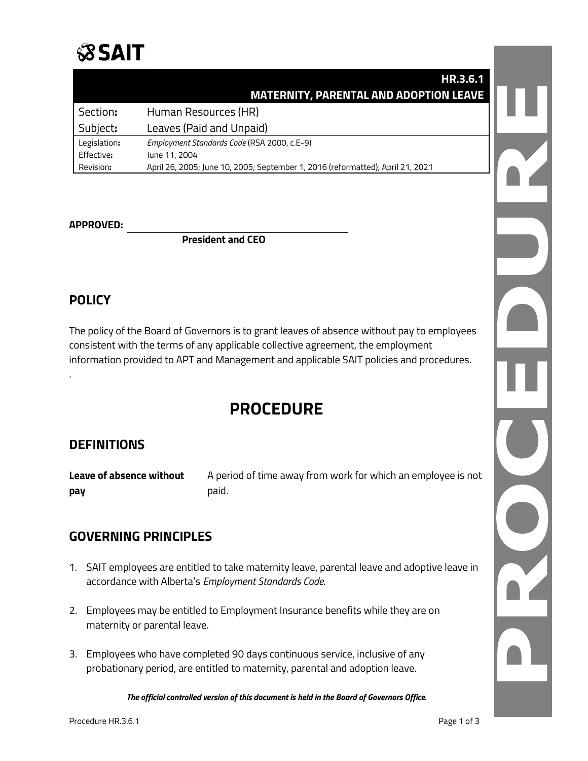## **SSAIT**

|              | HR.3.6.1                                                                       |  |
|--------------|--------------------------------------------------------------------------------|--|
|              | <b>MATERNITY, PARENTAL AND ADOPTION LEAVE</b>                                  |  |
| Section:     | Human Resources (HR)                                                           |  |
| Subject:     | Leaves (Paid and Unpaid)                                                       |  |
| Legislation: | Employment Standards Code (RSA 2000, c.E-9)                                    |  |
| Effective:   | June 11, 2004                                                                  |  |
| Revision:    | April 26, 2005; June 10, 2005; September 1, 2016 (reformatted); April 21, 2021 |  |

#### **APPROVED:**

**President and CEO**

#### **POLICY**

.

The policy of the Board of Governors is to grant leaves of absence without pay to employees consistent with the terms of any applicable collective agreement, the employment information provided to APT and Management and applicable SAIT policies and procedures.

### **PROCEDURE**

#### **DEFINITIONS**

**Leave of absence without** A period of time away from work for which an employee is not **pay** paid.

#### **GOVERNING PRINCIPLES**

- 1. SAIT employees are entitled to take maternity leave, parental leave and adoptive leave in accordance with Alberta's *Employment Standards Code*.
- 2. Employees may be entitled to Employment Insurance benefits while they are on maternity or parental leave.
- 3. Employees who have completed 90 days continuous service, inclusive of any probationary period, are entitled to maternity, parental and adoption leave.

*The official controlled version of this document is held in the Board of Governors Office.*

 $\overline{Y}$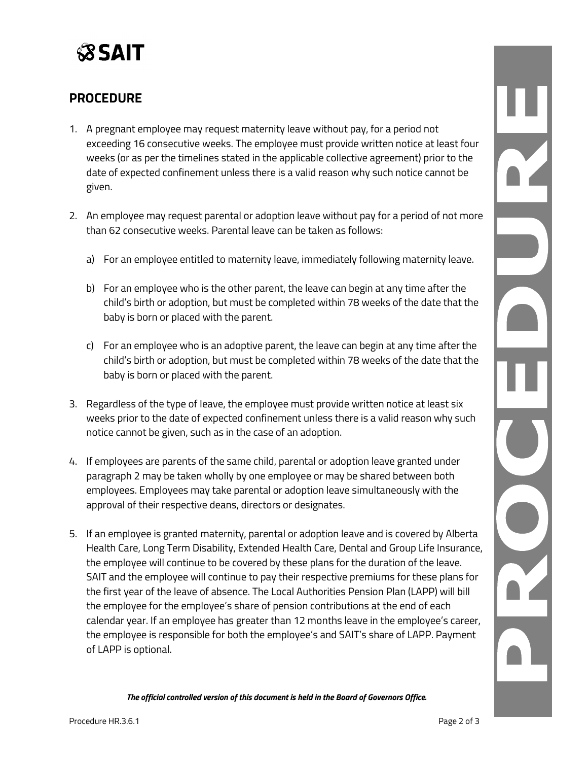

#### **PROCEDURE**

- 1. A pregnant employee may request maternity leave without pay, for a period not exceeding 16 consecutive weeks. The employee must provide written notice at least four weeks (or as per the timelines stated in the applicable collective agreement) prior to the date of expected confinement unless there is a valid reason why such notice cannot be given.
- 2. An employee may request parental or adoption leave without pay for a period of not more than 62 consecutive weeks. Parental leave can be taken as follows:
	- a) For an employee entitled to maternity leave, immediately following maternity leave.
	- b) For an employee who is the other parent, the leave can begin at any time after the child's birth or adoption, but must be completed within 78 weeks of the date that the baby is born or placed with the parent.
	- c) For an employee who is an adoptive parent, the leave can begin at any time after the child's birth or adoption, but must be completed within 78 weeks of the date that the baby is born or placed with the parent.
- 3. Regardless of the type of leave, the employee must provide written notice at least six weeks prior to the date of expected confinement unless there is a valid reason why such notice cannot be given, such as in the case of an adoption.
- 4. If employees are parents of the same child, parental or adoption leave granted under paragraph 2 may be taken wholly by one employee or may be shared between both employees. Employees may take parental or adoption leave simultaneously with the approval of their respective deans, directors or designates.
- 5. If an employee is granted maternity, parental or adoption leave and is covered by Alberta Health Care, Long Term Disability, Extended Health Care, Dental and Group Life Insurance, the employee will continue to be covered by these plans for the duration of the leave. SAIT and the employee will continue to pay their respective premiums for these plans for the first year of the leave of absence. The Local Authorities Pension Plan (LAPP) will bill the employee for the employee's share of pension contributions at the end of each calendar year. If an employee has greater than 12 months leave in the employee's career, the employee is responsible for both the employee's and SAIT's share of LAPP. Payment of LAPP is optional.

*The official controlled version of this document is held in the Board of Governors Office.*